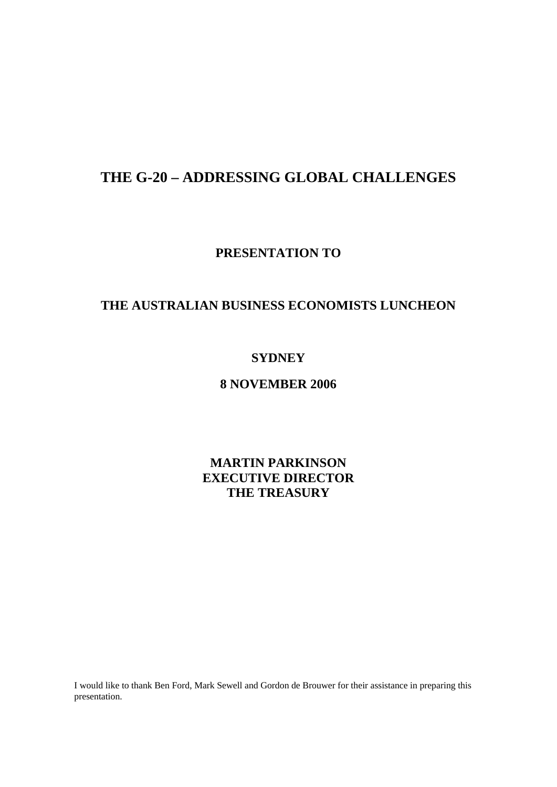## **THE G-20 – ADDRESSING GLOBAL CHALLENGES**

**PRESENTATION TO** 

### **THE AUSTRALIAN BUSINESS ECONOMISTS LUNCHEON**

### **SYDNEY**

### **8 NOVEMBER 2006**

**MARTIN PARKINSON EXECUTIVE DIRECTOR THE TREASURY** 

I would like to thank Ben Ford, Mark Sewell and Gordon de Brouwer for their assistance in preparing this presentation.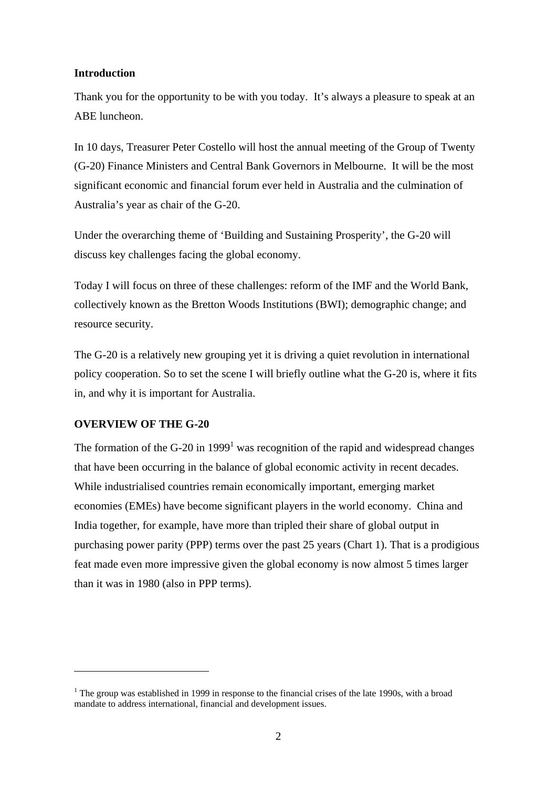#### **Introduction**

Thank you for the opportunity to be with you today. It's always a pleasure to speak at an ABE luncheon.

In 10 days, Treasurer Peter Costello will host the annual meeting of the Group of Twenty (G-20) Finance Ministers and Central Bank Governors in Melbourne. It will be the most significant economic and financial forum ever held in Australia and the culmination of Australia's year as chair of the G-20.

Under the overarching theme of 'Building and Sustaining Prosperity', the G-20 will discuss key challenges facing the global economy.

Today I will focus on three of these challenges: reform of the IMF and the World Bank, collectively known as the Bretton Woods Institutions (BWI); demographic change; and resource security.

The G-20 is a relatively new grouping yet it is driving a quiet revolution in international policy cooperation. So to set the scene I will briefly outline what the G-20 is, where it fits in, and why it is important for Australia.

#### **OVERVIEW OF THE G-20**

 $\overline{a}$ 

The formation of the G-20 in 1999<sup>1</sup> was recognition of the rapid and widespread changes that have been occurring in the balance of global economic activity in recent decades. While industrialised countries remain economically important, emerging market economies (EMEs) have become significant players in the world economy. China and India together, for example, have more than tripled their share of global output in purchasing power parity (PPP) terms over the past 25 years (Chart 1). That is a prodigious feat made even more impressive given the global economy is now almost 5 times larger than it was in 1980 (also in PPP terms).

<sup>&</sup>lt;sup>1</sup> The group was established in 1999 in response to the financial crises of the late 1990s, with a broad mandate to address international, financial and development issues.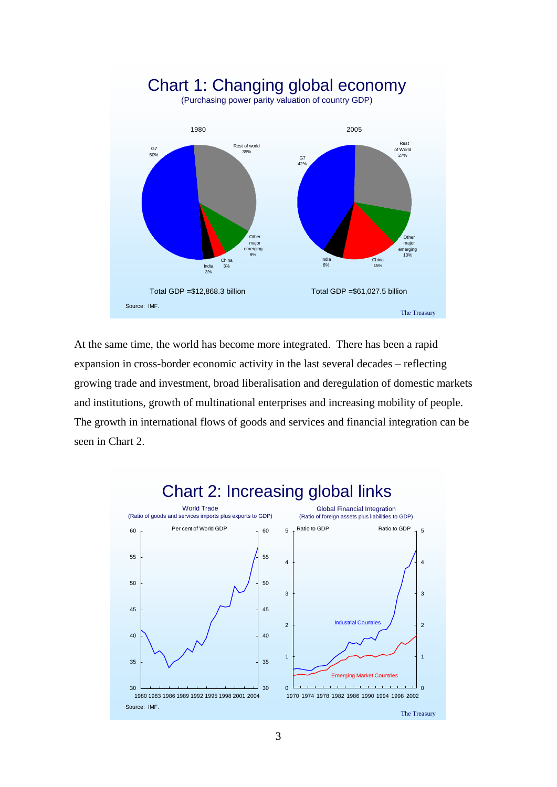

At the same time, the world has become more integrated. There has been a rapid expansion in cross-border economic activity in the last several decades – reflecting growing trade and investment, broad liberalisation and deregulation of domestic markets and institutions, growth of multinational enterprises and increasing mobility of people. The growth in international flows of goods and services and financial integration can be seen in Chart 2.



# Chart 2: Increasing global links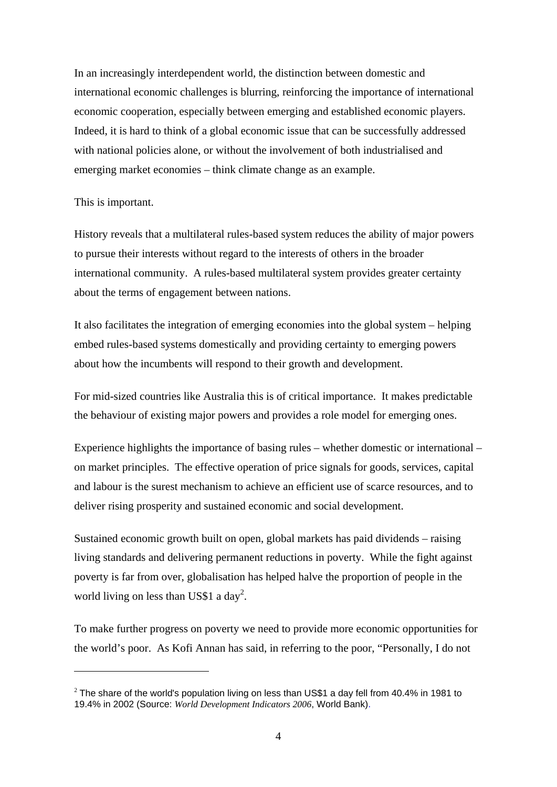In an increasingly interdependent world, the distinction between domestic and international economic challenges is blurring, reinforcing the importance of international economic cooperation, especially between emerging and established economic players. Indeed, it is hard to think of a global economic issue that can be successfully addressed with national policies alone, or without the involvement of both industrialised and emerging market economies – think climate change as an example.

#### This is important.

 $\overline{a}$ 

History reveals that a multilateral rules-based system reduces the ability of major powers to pursue their interests without regard to the interests of others in the broader international community. A rules-based multilateral system provides greater certainty about the terms of engagement between nations.

It also facilitates the integration of emerging economies into the global system – helping embed rules-based systems domestically and providing certainty to emerging powers about how the incumbents will respond to their growth and development.

For mid-sized countries like Australia this is of critical importance. It makes predictable the behaviour of existing major powers and provides a role model for emerging ones.

Experience highlights the importance of basing rules – whether domestic or international – on market principles. The effective operation of price signals for goods, services, capital and labour is the surest mechanism to achieve an efficient use of scarce resources, and to deliver rising prosperity and sustained economic and social development.

Sustained economic growth built on open, global markets has paid dividends – raising living standards and delivering permanent reductions in poverty. While the fight against poverty is far from over, globalisation has helped halve the proportion of people in the world living on less than US\$1 a day<sup>2</sup>.

To make further progress on poverty we need to provide more economic opportunities for the world's poor. As Kofi Annan has said, in referring to the poor, "Personally, I do not

 $2$  The share of the world's population living on less than US\$1 a day fell from 40.4% in 1981 to 19.4% in 2002 (Source: *World Development Indicators 2006*, World Bank).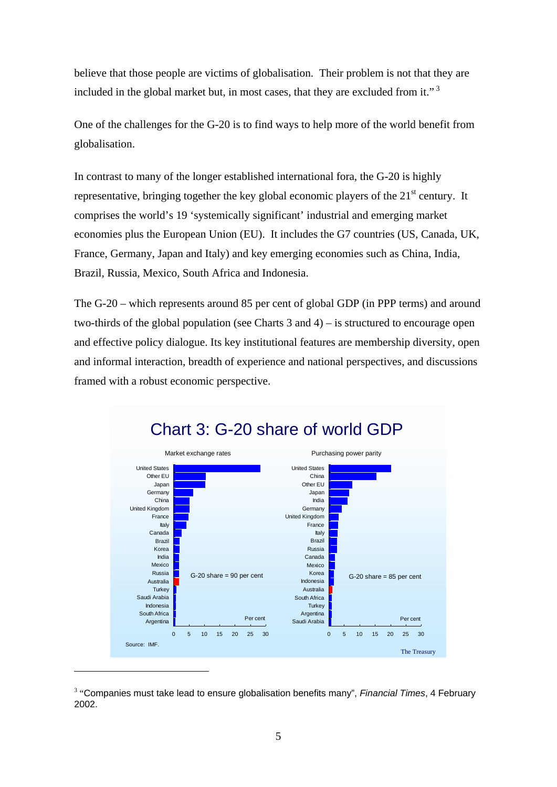believe that those people are victims of globalisation. Their problem is not that they are included in the global market but, in most cases, that they are excluded from it."<sup>3</sup>

One of the challenges for the G-20 is to find ways to help more of the world benefit from globalisation.

In contrast to many of the longer established international fora, the G-20 is highly representative, bringing together the key global economic players of the  $21<sup>st</sup>$  century. It comprises the world's 19 'systemically significant' industrial and emerging market economies plus the European Union (EU). It includes the G7 countries (US, Canada, UK, France, Germany, Japan and Italy) and key emerging economies such as China, India, Brazil, Russia, Mexico, South Africa and Indonesia.

The G-20 – which represents around 85 per cent of global GDP (in PPP terms) and around two-thirds of the global population (see Charts 3 and 4) – is structured to encourage open and effective policy dialogue. Its key institutional features are membership diversity, open and informal interaction, breadth of experience and national perspectives, and discussions framed with a robust economic perspective.



## Chart 3: G-20 share of world GDP

<sup>&</sup>lt;sup>3</sup> "Companies must take lead to ensure globalisation benefits many", *Financial Times*, 4 February 2002.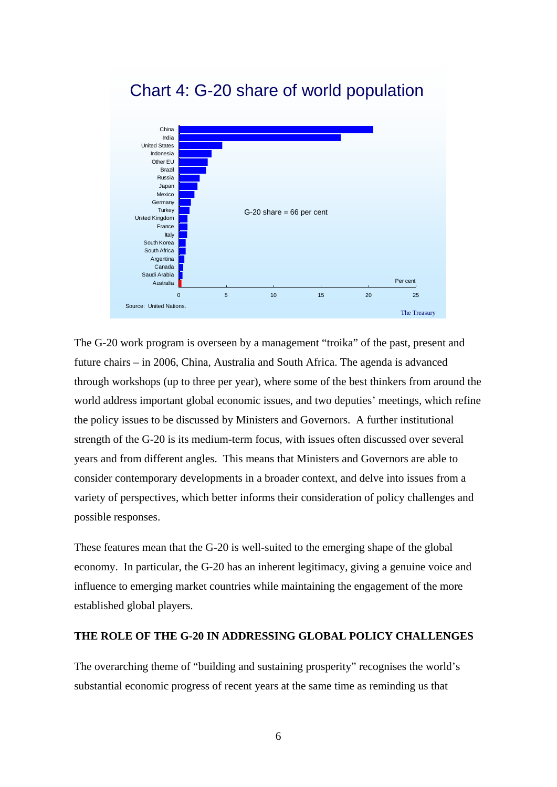# Chart 4: G-20 share of world population



The G-20 work program is overseen by a management "troika" of the past, present and future chairs – in 2006, China, Australia and South Africa. The agenda is advanced through workshops (up to three per year), where some of the best thinkers from around the world address important global economic issues, and two deputies' meetings, which refine the policy issues to be discussed by Ministers and Governors. A further institutional strength of the G-20 is its medium-term focus, with issues often discussed over several years and from different angles. This means that Ministers and Governors are able to consider contemporary developments in a broader context, and delve into issues from a variety of perspectives, which better informs their consideration of policy challenges and possible responses.

These features mean that the G-20 is well-suited to the emerging shape of the global economy. In particular, the G-20 has an inherent legitimacy, giving a genuine voice and influence to emerging market countries while maintaining the engagement of the more established global players.

#### **THE ROLE OF THE G-20 IN ADDRESSING GLOBAL POLICY CHALLENGES**

The overarching theme of "building and sustaining prosperity" recognises the world's substantial economic progress of recent years at the same time as reminding us that

6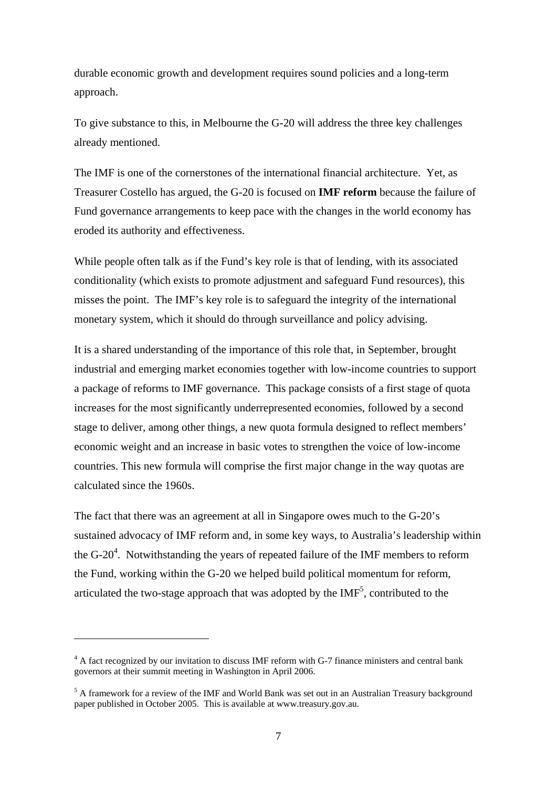durable economic growth and development requires sound policies and a long-term approach.

To give substance to this, in Melbourne the G-20 will address the three key challenges already mentioned.

The IMF is one of the cornerstones of the international financial architecture. Yet, as Treasurer Costello has argued, the G-20 is focused on **IMF reform** because the failure of Fund governance arrangements to keep pace with the changes in the world economy has eroded its authority and effectiveness.

While people often talk as if the Fund's key role is that of lending, with its associated conditionality (which exists to promote adjustment and safeguard Fund resources), this misses the point. The IMF's key role is to safeguard the integrity of the international monetary system, which it should do through surveillance and policy advising.

It is a shared understanding of the importance of this role that, in September, brought industrial and emerging market economies together with low-income countries to support a package of reforms to IMF governance. This package consists of a first stage of quota increases for the most significantly underrepresented economies, followed by a second stage to deliver, among other things, a new quota formula designed to reflect members' economic weight and an increase in basic votes to strengthen the voice of low-income countries. This new formula will comprise the first major change in the way quotas are calculated since the 1960s.

The fact that there was an agreement at all in Singapore owes much to the G-20's sustained advocacy of IMF reform and, in some key ways, to Australia's leadership within the  $G-20<sup>4</sup>$ . Notwithstanding the years of repeated failure of the IMF members to reform the Fund, working within the G-20 we helped build political momentum for reform, articulated the two-stage approach that was adopted by the  $IMF<sup>5</sup>$ , contributed to the

<sup>&</sup>lt;sup>4</sup> A fact recognized by our invitation to discuss IMF reform with G-7 finance ministers and central bank governors at their summit meeting in Washington in April 2006.

<sup>&</sup>lt;sup>5</sup> A framework for a review of the IMF and World Bank was set out in an Australian Treasury background paper published in October 2005. This is available at www.treasury.gov.au.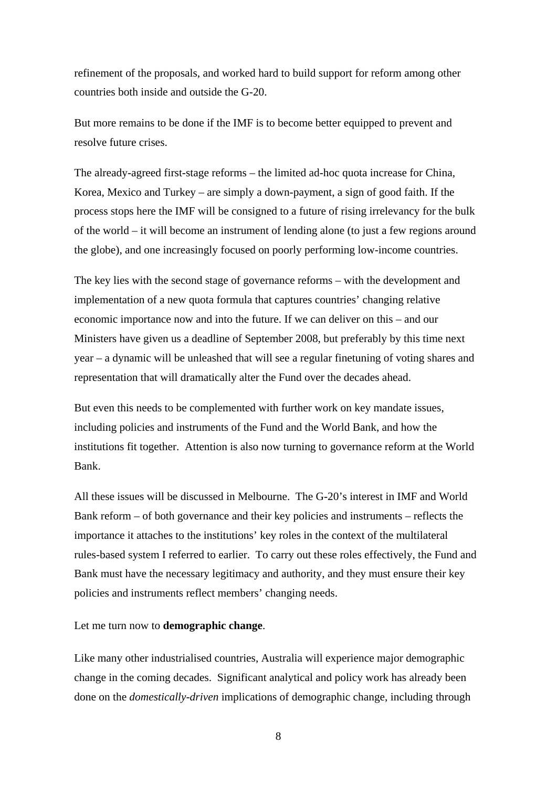refinement of the proposals, and worked hard to build support for reform among other countries both inside and outside the G-20.

But more remains to be done if the IMF is to become better equipped to prevent and resolve future crises.

The already-agreed first-stage reforms – the limited ad-hoc quota increase for China, Korea, Mexico and Turkey – are simply a down-payment, a sign of good faith. If the process stops here the IMF will be consigned to a future of rising irrelevancy for the bulk of the world – it will become an instrument of lending alone (to just a few regions around the globe), and one increasingly focused on poorly performing low-income countries.

The key lies with the second stage of governance reforms – with the development and implementation of a new quota formula that captures countries' changing relative economic importance now and into the future. If we can deliver on this – and our Ministers have given us a deadline of September 2008, but preferably by this time next year – a dynamic will be unleashed that will see a regular finetuning of voting shares and representation that will dramatically alter the Fund over the decades ahead.

But even this needs to be complemented with further work on key mandate issues, including policies and instruments of the Fund and the World Bank, and how the institutions fit together. Attention is also now turning to governance reform at the World Bank.

All these issues will be discussed in Melbourne. The G-20's interest in IMF and World Bank reform – of both governance and their key policies and instruments – reflects the importance it attaches to the institutions' key roles in the context of the multilateral rules-based system I referred to earlier. To carry out these roles effectively, the Fund and Bank must have the necessary legitimacy and authority, and they must ensure their key policies and instruments reflect members' changing needs.

Let me turn now to **demographic change**.

Like many other industrialised countries, Australia will experience major demographic change in the coming decades. Significant analytical and policy work has already been done on the *domestically-driven* implications of demographic change, including through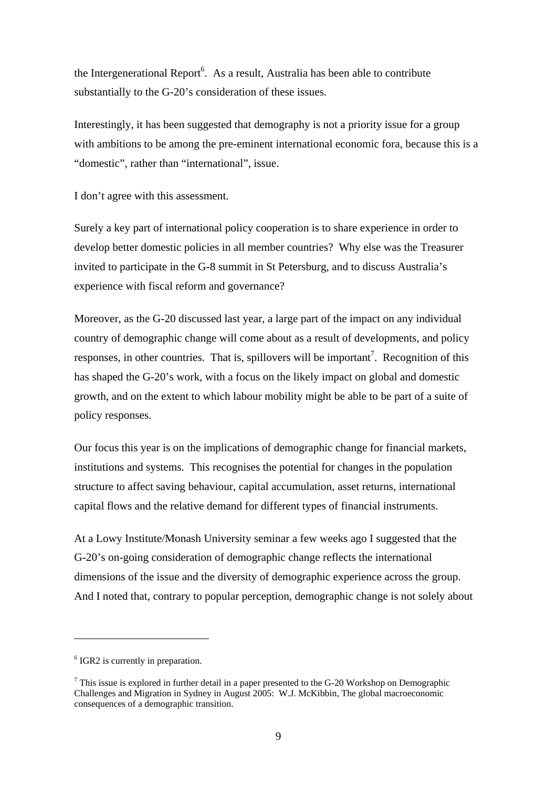the Intergenerational Report<sup>6</sup>. As a result, Australia has been able to contribute substantially to the G-20's consideration of these issues.

Interestingly, it has been suggested that demography is not a priority issue for a group with ambitions to be among the pre-eminent international economic fora, because this is a "domestic", rather than "international", issue.

I don't agree with this assessment.

Surely a key part of international policy cooperation is to share experience in order to develop better domestic policies in all member countries? Why else was the Treasurer invited to participate in the G-8 summit in St Petersburg, and to discuss Australia's experience with fiscal reform and governance?

Moreover, as the G-20 discussed last year, a large part of the impact on any individual country of demographic change will come about as a result of developments, and policy responses, in other countries. That is, spillovers will be important<sup>7</sup>. Recognition of this has shaped the G-20's work, with a focus on the likely impact on global and domestic growth, and on the extent to which labour mobility might be able to be part of a suite of policy responses.

Our focus this year is on the implications of demographic change for financial markets, institutions and systems. This recognises the potential for changes in the population structure to affect saving behaviour, capital accumulation, asset returns, international capital flows and the relative demand for different types of financial instruments.

At a Lowy Institute/Monash University seminar a few weeks ago I suggested that the G-20's on-going consideration of demographic change reflects the international dimensions of the issue and the diversity of demographic experience across the group. And I noted that, contrary to popular perception, demographic change is not solely about

<sup>&</sup>lt;sup>6</sup> IGR2 is currently in preparation.

 $7$  This issue is explored in further detail in a paper presented to the G-20 Workshop on Demographic Challenges and Migration in Sydney in August 2005: W.J. McKibbin, The global macroeconomic consequences of a demographic transition.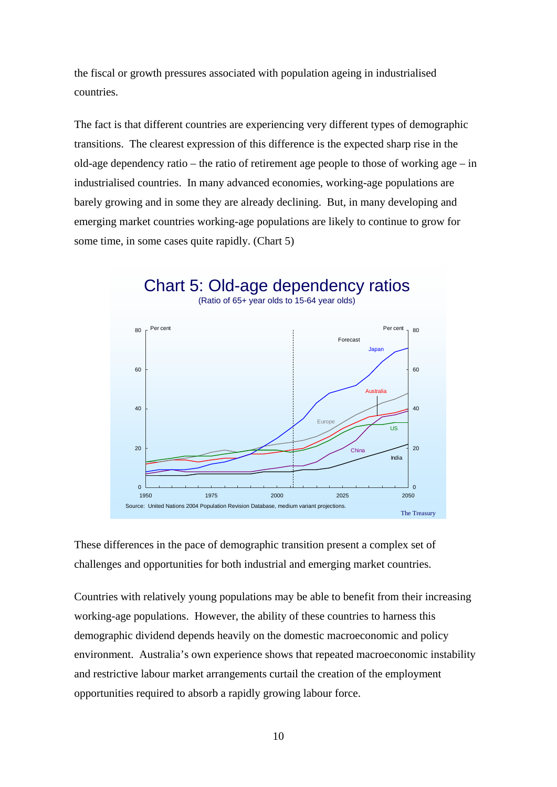the fiscal or growth pressures associated with population ageing in industrialised countries.

The fact is that different countries are experiencing very different types of demographic transitions. The clearest expression of this difference is the expected sharp rise in the old-age dependency ratio – the ratio of retirement age people to those of working age – in industrialised countries. In many advanced economies, working-age populations are barely growing and in some they are already declining. But, in many developing and emerging market countries working-age populations are likely to continue to grow for some time, in some cases quite rapidly. (Chart 5)



These differences in the pace of demographic transition present a complex set of challenges and opportunities for both industrial and emerging market countries.

Countries with relatively young populations may be able to benefit from their increasing working-age populations. However, the ability of these countries to harness this demographic dividend depends heavily on the domestic macroeconomic and policy environment. Australia's own experience shows that repeated macroeconomic instability and restrictive labour market arrangements curtail the creation of the employment opportunities required to absorb a rapidly growing labour force.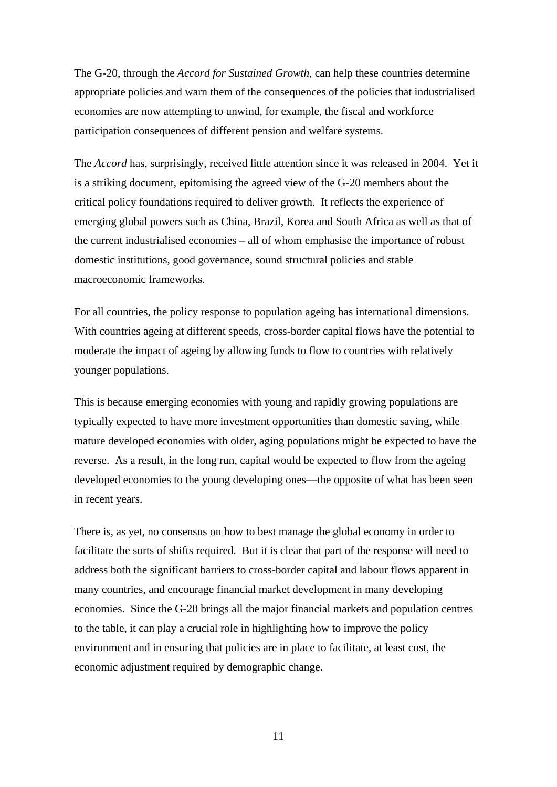The G-20, through the *Accord for Sustained Growth*, can help these countries determine appropriate policies and warn them of the consequences of the policies that industrialised economies are now attempting to unwind, for example, the fiscal and workforce participation consequences of different pension and welfare systems.

The *Accord* has, surprisingly, received little attention since it was released in 2004. Yet it is a striking document, epitomising the agreed view of the G-20 members about the critical policy foundations required to deliver growth. It reflects the experience of emerging global powers such as China, Brazil, Korea and South Africa as well as that of the current industrialised economies – all of whom emphasise the importance of robust domestic institutions, good governance, sound structural policies and stable macroeconomic frameworks.

For all countries, the policy response to population ageing has international dimensions. With countries ageing at different speeds, cross-border capital flows have the potential to moderate the impact of ageing by allowing funds to flow to countries with relatively younger populations.

This is because emerging economies with young and rapidly growing populations are typically expected to have more investment opportunities than domestic saving, while mature developed economies with older, aging populations might be expected to have the reverse. As a result, in the long run, capital would be expected to flow from the ageing developed economies to the young developing ones—the opposite of what has been seen in recent years.

There is, as yet, no consensus on how to best manage the global economy in order to facilitate the sorts of shifts required. But it is clear that part of the response will need to address both the significant barriers to cross-border capital and labour flows apparent in many countries, and encourage financial market development in many developing economies. Since the G-20 brings all the major financial markets and population centres to the table, it can play a crucial role in highlighting how to improve the policy environment and in ensuring that policies are in place to facilitate, at least cost, the economic adjustment required by demographic change.

11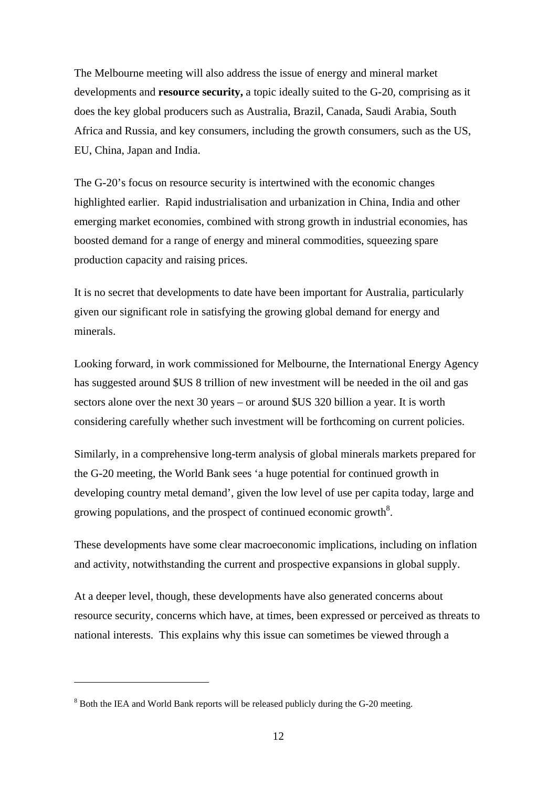The Melbourne meeting will also address the issue of energy and mineral market developments and **resource security,** a topic ideally suited to the G-20, comprising as it does the key global producers such as Australia, Brazil, Canada, Saudi Arabia, South Africa and Russia, and key consumers, including the growth consumers, such as the US, EU, China, Japan and India.

The G-20's focus on resource security is intertwined with the economic changes highlighted earlier. Rapid industrialisation and urbanization in China, India and other emerging market economies, combined with strong growth in industrial economies, has boosted demand for a range of energy and mineral commodities, squeezing spare production capacity and raising prices.

It is no secret that developments to date have been important for Australia, particularly given our significant role in satisfying the growing global demand for energy and minerals.

Looking forward, in work commissioned for Melbourne, the International Energy Agency has suggested around \$US 8 trillion of new investment will be needed in the oil and gas sectors alone over the next 30 years – or around \$US 320 billion a year. It is worth considering carefully whether such investment will be forthcoming on current policies.

Similarly, in a comprehensive long-term analysis of global minerals markets prepared for the G-20 meeting, the World Bank sees 'a huge potential for continued growth in developing country metal demand', given the low level of use per capita today, large and growing populations, and the prospect of continued economic growth<sup>8</sup>.

These developments have some clear macroeconomic implications, including on inflation and activity, notwithstanding the current and prospective expansions in global supply.

At a deeper level, though, these developments have also generated concerns about resource security, concerns which have, at times, been expressed or perceived as threats to national interests. This explains why this issue can sometimes be viewed through a

<sup>&</sup>lt;sup>8</sup> Both the IEA and World Bank reports will be released publicly during the G-20 meeting.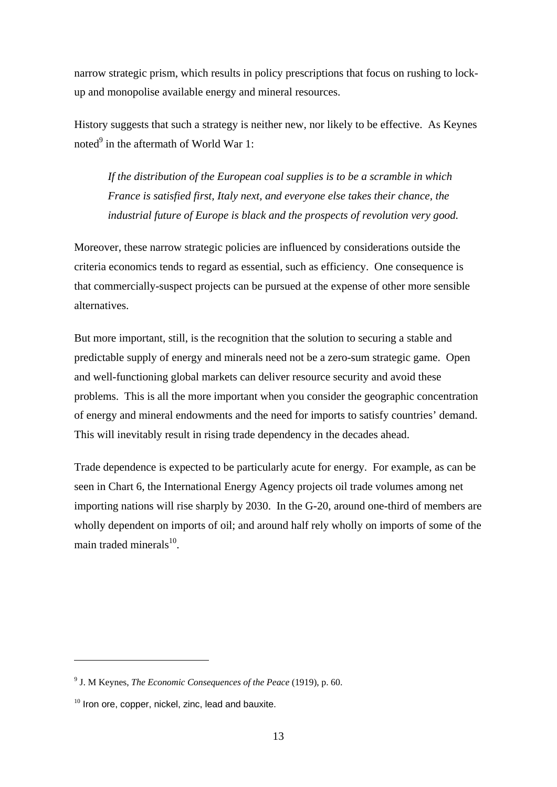narrow strategic prism, which results in policy prescriptions that focus on rushing to lockup and monopolise available energy and mineral resources.

History suggests that such a strategy is neither new, nor likely to be effective. As Keynes noted $^9$  in the aftermath of World War 1:

*If the distribution of the European coal supplies is to be a scramble in which France is satisfied first, Italy next, and everyone else takes their chance, the industrial future of Europe is black and the prospects of revolution very good.* 

Moreover, these narrow strategic policies are influenced by considerations outside the criteria economics tends to regard as essential, such as efficiency. One consequence is that commercially-suspect projects can be pursued at the expense of other more sensible alternatives.

But more important, still, is the recognition that the solution to securing a stable and predictable supply of energy and minerals need not be a zero-sum strategic game. Open and well-functioning global markets can deliver resource security and avoid these problems. This is all the more important when you consider the geographic concentration of energy and mineral endowments and the need for imports to satisfy countries' demand. This will inevitably result in rising trade dependency in the decades ahead.

Trade dependence is expected to be particularly acute for energy. For example, as can be seen in Chart 6, the International Energy Agency projects oil trade volumes among net importing nations will rise sharply by 2030. In the G-20, around one-third of members are wholly dependent on imports of oil; and around half rely wholly on imports of some of the main traded minerals $^{10}$ .

<sup>9</sup> J. M Keynes, *The Economic Consequences of the Peace* (1919), p. 60.

 $10$  Iron ore, copper, nickel, zinc, lead and bauxite.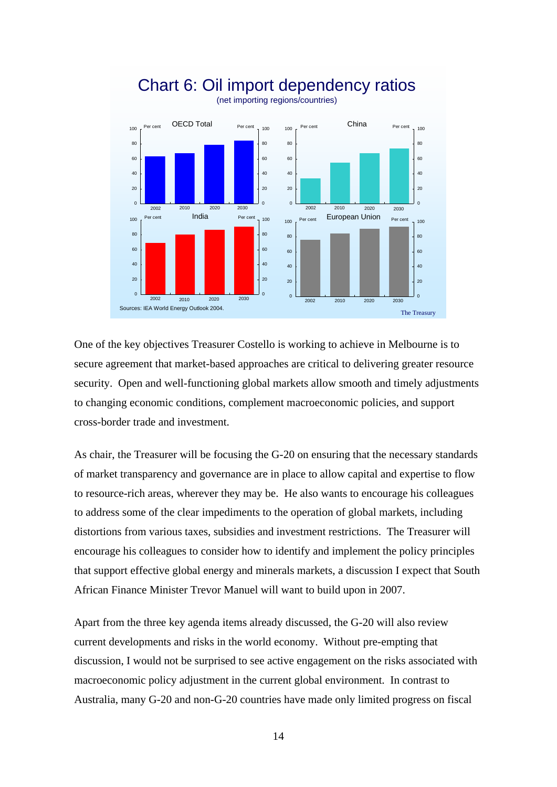

## Chart 6: Oil import dependency ratios (net importing regions/countries)

One of the key objectives Treasurer Costello is working to achieve in Melbourne is to secure agreement that market-based approaches are critical to delivering greater resource security. Open and well-functioning global markets allow smooth and timely adjustments to changing economic conditions, complement macroeconomic policies, and support cross-border trade and investment.

As chair, the Treasurer will be focusing the G-20 on ensuring that the necessary standards of market transparency and governance are in place to allow capital and expertise to flow to resource-rich areas, wherever they may be. He also wants to encourage his colleagues to address some of the clear impediments to the operation of global markets, including distortions from various taxes, subsidies and investment restrictions. The Treasurer will encourage his colleagues to consider how to identify and implement the policy principles that support effective global energy and minerals markets, a discussion I expect that South African Finance Minister Trevor Manuel will want to build upon in 2007.

Apart from the three key agenda items already discussed, the G-20 will also review current developments and risks in the world economy. Without pre-empting that discussion, I would not be surprised to see active engagement on the risks associated with macroeconomic policy adjustment in the current global environment. In contrast to Australia, many G-20 and non-G-20 countries have made only limited progress on fiscal